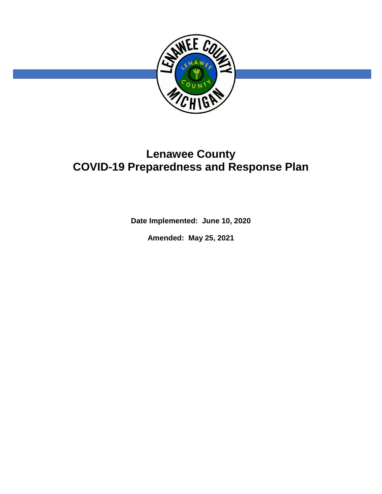

# **Lenawee County COVID-19 Preparedness and Response Plan**

**Date Implemented: June 10, 2020**

**Amended: May 25, 2021**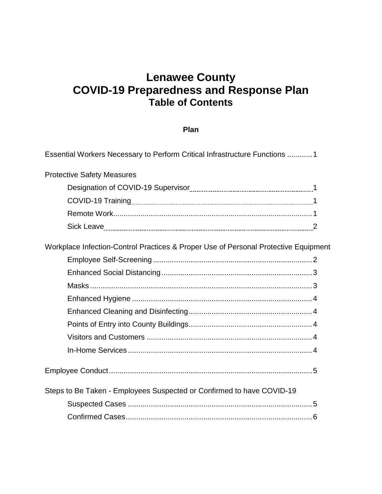# **Lenawee County COVID-19 Preparedness and Response Plan Table of Contents**

## **Plan**

| Essential Workers Necessary to Perform Critical Infrastructure Functions 1          |  |
|-------------------------------------------------------------------------------------|--|
| <b>Protective Safety Measures</b>                                                   |  |
|                                                                                     |  |
|                                                                                     |  |
|                                                                                     |  |
|                                                                                     |  |
| Workplace Infection-Control Practices & Proper Use of Personal Protective Equipment |  |
|                                                                                     |  |
|                                                                                     |  |
|                                                                                     |  |
|                                                                                     |  |
|                                                                                     |  |
|                                                                                     |  |
|                                                                                     |  |
|                                                                                     |  |
|                                                                                     |  |
| Steps to Be Taken - Employees Suspected or Confirmed to have COVID-19               |  |
|                                                                                     |  |
|                                                                                     |  |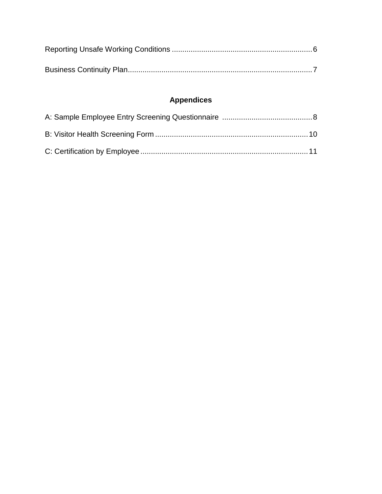# **Appendices**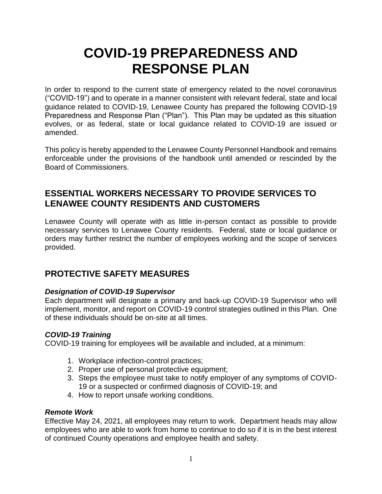# **COVID-19 PREPAREDNESS AND RESPONSE PLAN**

In order to respond to the current state of emergency related to the novel coronavirus ("COVID-19") and to operate in a manner consistent with relevant federal, state and local guidance related to COVID-19, Lenawee County has prepared the following COVID-19 Preparedness and Response Plan ("Plan"). This Plan may be updated as this situation evolves, or as federal, state or local guidance related to COVID-19 are issued or amended.

This policy is hereby appended to the Lenawee County Personnel Handbook and remains enforceable under the provisions of the handbook until amended or rescinded by the Board of Commissioners.

## **ESSENTIAL WORKERS NECESSARY TO PROVIDE SERVICES TO LENAWEE COUNTY RESIDENTS AND CUSTOMERS**

Lenawee County will operate with as little in-person contact as possible to provide necessary services to Lenawee County residents. Federal, state or local guidance or orders may further restrict the number of employees working and the scope of services provided.

## **PROTECTIVE SAFETY MEASURES**

#### *Designation of COVID-19 Supervisor*

Each department will designate a primary and back-up COVID-19 Supervisor who will implement, monitor, and report on COVID-19 control strategies outlined in this Plan. One of these individuals should be on-site at all times.

#### *COVID-19 Training*

COVID-19 training for employees will be available and included, at a minimum:

- 1. Workplace infection-control practices;
- 2. Proper use of personal protective equipment;
- 3. Steps the employee must take to notify employer of any symptoms of COVID-19 or a suspected or confirmed diagnosis of COVID-19; and
- 4. How to report unsafe working conditions.

#### *Remote Work*

Effective May 24, 2021, all employees may return to work. Department heads may allow employees who are able to work from home to continue to do so if it is in the best interest of continued County operations and employee health and safety.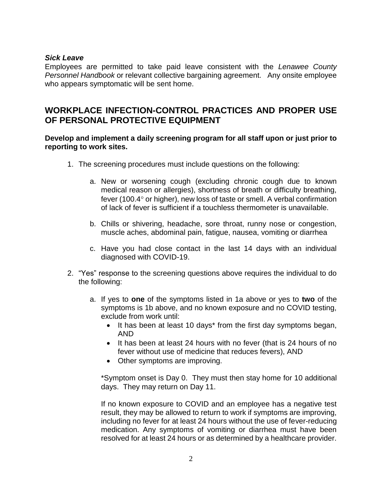#### *Sick Leave*

Employees are permitted to take paid leave consistent with the *Lenawee County Personnel Handbook* or relevant collective bargaining agreement. Any onsite employee who appears symptomatic will be sent home.

# **WORKPLACE INFECTION-CONTROL PRACTICES AND PROPER USE OF PERSONAL PROTECTIVE EQUIPMENT**

#### **Develop and implement a daily screening program for all staff upon or just prior to reporting to work sites.**

- 1. The screening procedures must include questions on the following:
	- a. New or worsening cough (excluding chronic cough due to known medical reason or allergies), shortness of breath or difficulty breathing, fever (100.4° or higher), new loss of taste or smell. A verbal confirmation of lack of fever is sufficient if a touchless thermometer is unavailable.
	- b. Chills or shivering, headache, sore throat, runny nose or congestion, muscle aches, abdominal pain, fatigue, nausea, vomiting or diarrhea
	- c. Have you had close contact in the last 14 days with an individual diagnosed with COVID-19.
- 2. "Yes" response to the screening questions above requires the individual to do the following:
	- a. If yes to **one** of the symptoms listed in 1a above or yes to **two** of the symptoms is 1b above, and no known exposure and no COVID testing, exclude from work until:
		- It has been at least 10 days\* from the first day symptoms began, AND
		- It has been at least 24 hours with no fever (that is 24 hours of no fever without use of medicine that reduces fevers), AND
		- Other symptoms are improving.

\*Symptom onset is Day 0. They must then stay home for 10 additional days. They may return on Day 11.

If no known exposure to COVID and an employee has a negative test result, they may be allowed to return to work if symptoms are improving, including no fever for at least 24 hours without the use of fever-reducing medication. Any symptoms of vomiting or diarrhea must have been resolved for at least 24 hours or as determined by a healthcare provider.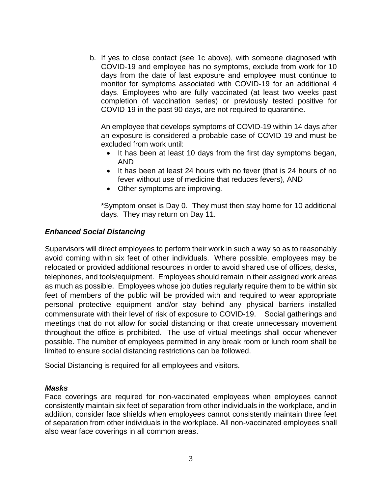b. If yes to close contact (see 1c above), with someone diagnosed with COVID-19 and employee has no symptoms, exclude from work for 10 days from the date of last exposure and employee must continue to monitor for symptoms associated with COVID-19 for an additional 4 days. Employees who are fully vaccinated (at least two weeks past completion of vaccination series) or previously tested positive for COVID-19 in the past 90 days, are not required to quarantine.

An employee that develops symptoms of COVID-19 within 14 days after an exposure is considered a probable case of COVID-19 and must be excluded from work until:

- It has been at least 10 days from the first day symptoms began, AND
- It has been at least 24 hours with no fever (that is 24 hours of no fever without use of medicine that reduces fevers), AND
- Other symptoms are improving.

\*Symptom onset is Day 0. They must then stay home for 10 additional days. They may return on Day 11.

#### *Enhanced Social Distancing*

Supervisors will direct employees to perform their work in such a way so as to reasonably avoid coming within six feet of other individuals. Where possible, employees may be relocated or provided additional resources in order to avoid shared use of offices, desks, telephones, and tools/equipment. Employees should remain in their assigned work areas as much as possible. Employees whose job duties regularly require them to be within six feet of members of the public will be provided with and required to wear appropriate personal protective equipment and/or stay behind any physical barriers installed commensurate with their level of risk of exposure to COVID-19. Social gatherings and meetings that do not allow for social distancing or that create unnecessary movement throughout the office is prohibited. The use of virtual meetings shall occur whenever possible. The number of employees permitted in any break room or lunch room shall be limited to ensure social distancing restrictions can be followed.

Social Distancing is required for all employees and visitors.

#### *Masks*

Face coverings are required for non-vaccinated employees when employees cannot consistently maintain six feet of separation from other individuals in the workplace, and in addition, consider face shields when employees cannot consistently maintain three feet of separation from other individuals in the workplace. All non-vaccinated employees shall also wear face coverings in all common areas.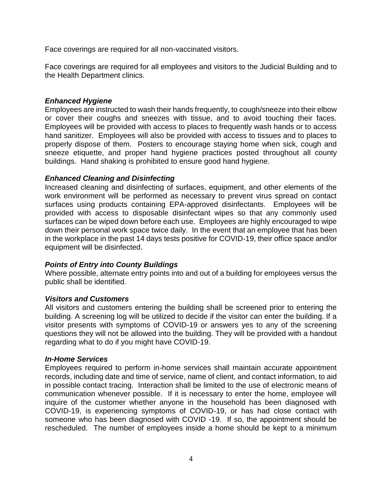Face coverings are required for all non-vaccinated visitors.

Face coverings are required for all employees and visitors to the Judicial Building and to the Health Department clinics.

#### *Enhanced Hygiene*

Employees are instructed to wash their hands frequently, to cough/sneeze into their elbow or cover their coughs and sneezes with tissue, and to avoid touching their faces. Employees will be provided with access to places to frequently wash hands or to access hand sanitizer. Employees will also be provided with access to tissues and to places to properly dispose of them. Posters to encourage staying home when sick, cough and sneeze etiquette, and proper hand hygiene practices posted throughout all county buildings. Hand shaking is prohibited to ensure good hand hygiene.

#### *Enhanced Cleaning and Disinfecting*

Increased cleaning and disinfecting of surfaces, equipment, and other elements of the work environment will be performed as necessary to prevent virus spread on contact surfaces using products containing EPA-approved disinfectants. Employees will be provided with access to disposable disinfectant wipes so that any commonly used surfaces can be wiped down before each use. Employees are highly encouraged to wipe down their personal work space twice daily. In the event that an employee that has been in the workplace in the past 14 days tests positive for COVID-19, their office space and/or equipment will be disinfected.

#### *Points of Entry into County Buildings*

Where possible, alternate entry points into and out of a building for employees versus the public shall be identified.

#### *Visitors and Customers*

All visitors and customers entering the building shall be screened prior to entering the building. A screening log will be utilized to decide if the visitor can enter the building. If a visitor presents with symptoms of COVID-19 or answers yes to any of the screening questions they will not be allowed into the building. They will be provided with a handout regarding what to do if you might have COVID-19.

#### *In-Home Services*

Employees required to perform in-home services shall maintain accurate appointment records, including date and time of service, name of client, and contact information, to aid in possible contact tracing. Interaction shall be limited to the use of electronic means of communication whenever possible. If it is necessary to enter the home, employee will inquire of the customer whether anyone in the household has been diagnosed with COVID-19, is experiencing symptoms of COVID-19, or has had close contact with someone who has been diagnosed with COVID -19. If so, the appointment should be rescheduled. The number of employees inside a home should be kept to a minimum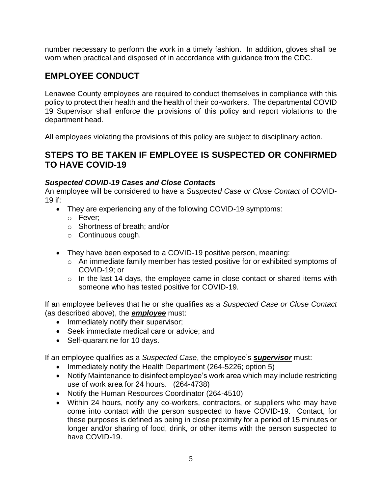number necessary to perform the work in a timely fashion. In addition, gloves shall be worn when practical and disposed of in accordance with guidance from the CDC.

# **EMPLOYEE CONDUCT**

Lenawee County employees are required to conduct themselves in compliance with this policy to protect their health and the health of their co-workers. The departmental COVID 19 Supervisor shall enforce the provisions of this policy and report violations to the department head.

All employees violating the provisions of this policy are subject to disciplinary action.

## **STEPS TO BE TAKEN IF EMPLOYEE IS SUSPECTED OR CONFIRMED TO HAVE COVID-19**

#### *Suspected COVID-19 Cases and Close Contacts*

An employee will be considered to have a *Suspected Case or Close Contact* of COVID-19 if:

- They are experiencing any of the following COVID-19 symptoms:
	- o Fever;
	- o Shortness of breath; and/or
	- o Continuous cough.
- They have been exposed to a COVID-19 positive person, meaning:
	- o An immediate family member has tested positive for or exhibited symptoms of COVID-19; or
	- $\circ$  In the last 14 days, the employee came in close contact or shared items with someone who has tested positive for COVID-19.

If an employee believes that he or she qualifies as a *Suspected Case or Close Contact* (as described above), the *employee* must:

- Immediately notify their supervisor;
- Seek immediate medical care or advice; and
- Self-quarantine for 10 days.

If an employee qualifies as a *Suspected Case*, the employee's *supervisor* must:

- Immediately notify the Health Department (264-5226; option 5)
- Notify Maintenance to disinfect employee's work area which may include restricting use of work area for 24 hours. (264-4738)
- Notify the Human Resources Coordinator (264-4510)
- Within 24 hours, notify any co-workers, contractors, or suppliers who may have come into contact with the person suspected to have COVID-19. Contact, for these purposes is defined as being in close proximity for a period of 15 minutes or longer and/or sharing of food, drink, or other items with the person suspected to have COVID-19.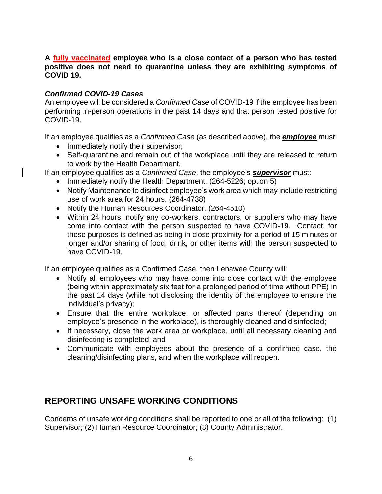#### **A fully vaccinated employee who is a close contact of a person who has tested positive does not need to quarantine unless they are exhibiting symptoms of COVID 19.**

#### *Confirmed COVID-19 Cases*

An employee will be considered a *Confirmed Case* of COVID-19 if the employee has been performing in-person operations in the past 14 days and that person tested positive for COVID-19.

If an employee qualifies as a *Confirmed Case* (as described above), the *employee* must:

- Immediately notify their supervisor;
- Self-quarantine and remain out of the workplace until they are released to return to work by the Health Department.

If an employee qualifies as a *Confirmed Case*, the employee's *supervisor* must:

- Immediately notify the Health Department. (264-5226; option 5)
- Notify Maintenance to disinfect employee's work area which may include restricting use of work area for 24 hours. (264-4738)
- Notify the Human Resources Coordinator. (264-4510)
- Within 24 hours, notify any co-workers, contractors, or suppliers who may have come into contact with the person suspected to have COVID-19. Contact, for these purposes is defined as being in close proximity for a period of 15 minutes or longer and/or sharing of food, drink, or other items with the person suspected to have COVID-19.

If an employee qualifies as a Confirmed Case, then Lenawee County will:

- Notify all employees who may have come into close contact with the employee (being within approximately six feet for a prolonged period of time without PPE) in the past 14 days (while not disclosing the identity of the employee to ensure the individual's privacy);
- Ensure that the entire workplace, or affected parts thereof (depending on employee's presence in the workplace), is thoroughly cleaned and disinfected;
- If necessary, close the work area or workplace, until all necessary cleaning and disinfecting is completed; and
- Communicate with employees about the presence of a confirmed case, the cleaning/disinfecting plans, and when the workplace will reopen.

# **REPORTING UNSAFE WORKING CONDITIONS**

Concerns of unsafe working conditions shall be reported to one or all of the following: (1) Supervisor; (2) Human Resource Coordinator; (3) County Administrator.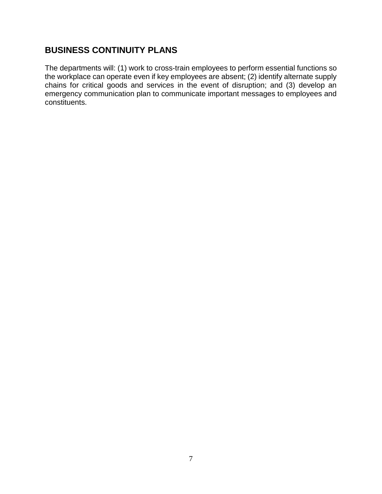# **BUSINESS CONTINUITY PLANS**

The departments will: (1) work to cross-train employees to perform essential functions so the workplace can operate even if key employees are absent; (2) identify alternate supply chains for critical goods and services in the event of disruption; and (3) develop an emergency communication plan to communicate important messages to employees and constituents.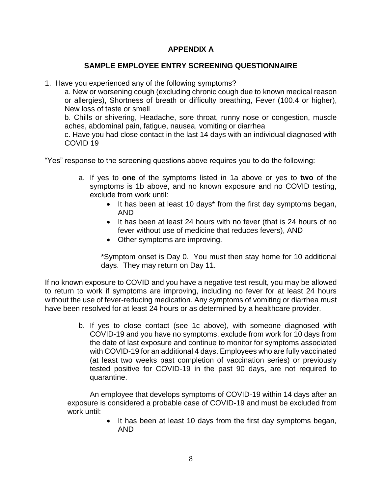#### **APPENDIX A**

#### **SAMPLE EMPLOYEE ENTRY SCREENING QUESTIONNAIRE**

1. Have you experienced any of the following symptoms?

a. New or worsening cough (excluding chronic cough due to known medical reason or allergies), Shortness of breath or difficulty breathing, Fever (100.4 or higher), New loss of taste or smell

 b. Chills or shivering, Headache, sore throat, runny nose or congestion, muscle aches, abdominal pain, fatigue, nausea, vomiting or diarrhea

c. Have you had close contact in the last 14 days with an individual diagnosed with COVID 19

"Yes" response to the screening questions above requires you to do the following:

- a. If yes to **one** of the symptoms listed in 1a above or yes to **two** of the symptoms is 1b above, and no known exposure and no COVID testing, exclude from work until:
	- It has been at least 10 days\* from the first day symptoms began, AND
	- It has been at least 24 hours with no fever (that is 24 hours of no fever without use of medicine that reduces fevers), AND
	- Other symptoms are improving.

\*Symptom onset is Day 0. You must then stay home for 10 additional days. They may return on Day 11.

If no known exposure to COVID and you have a negative test result, you may be allowed to return to work if symptoms are improving, including no fever for at least 24 hours without the use of fever-reducing medication. Any symptoms of vomiting or diarrhea must have been resolved for at least 24 hours or as determined by a healthcare provider.

> b. If yes to close contact (see 1c above), with someone diagnosed with COVID-19 and you have no symptoms, exclude from work for 10 days from the date of last exposure and continue to monitor for symptoms associated with COVID-19 for an additional 4 days. Employees who are fully vaccinated (at least two weeks past completion of vaccination series) or previously tested positive for COVID-19 in the past 90 days, are not required to quarantine.

An employee that develops symptoms of COVID-19 within 14 days after an exposure is considered a probable case of COVID-19 and must be excluded from work until:

> It has been at least 10 days from the first day symptoms began, AND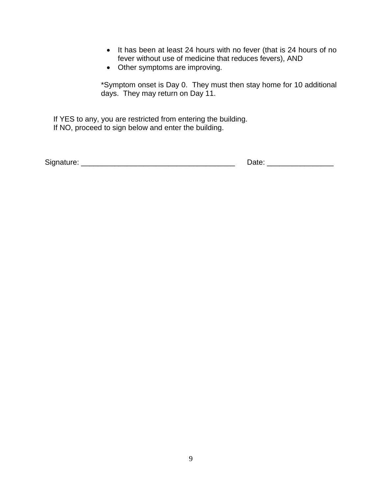- It has been at least 24 hours with no fever (that is 24 hours of no fever without use of medicine that reduces fevers), AND
- Other symptoms are improving.

\*Symptom onset is Day 0. They must then stay home for 10 additional days. They may return on Day 11.

If YES to any, you are restricted from entering the building. If NO, proceed to sign below and enter the building.

| Signature: | Jate |
|------------|------|
|            |      |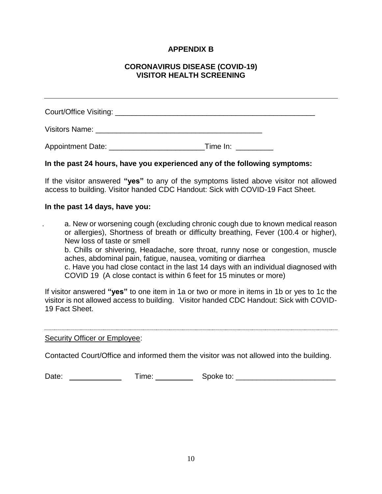#### **APPENDIX B**

#### **CORONAVIRUS DISEASE (COVID-19) VISITOR HEALTH SCREENING**

| Visitors Name: Wisitors Name: |          |  |
|-------------------------------|----------|--|
| Appointment Date:             | Time In: |  |

#### **In the past 24 hours, have you experienced any of the following symptoms:**

If the visitor answered **"yes"** to any of the symptoms listed above visitor not allowed access to building. Visitor handed CDC Handout: Sick with COVID-19 Fact Sheet.

#### **In the past 14 days, have you:**

a. New or worsening cough (excluding chronic cough due to known medical reason or allergies), Shortness of breath or difficulty breathing, Fever (100.4 or higher), New loss of taste or smell

 b. Chills or shivering, Headache, sore throat, runny nose or congestion, muscle aches, abdominal pain, fatigue, nausea, vomiting or diarrhea

c. Have you had close contact in the last 14 days with an individual diagnosed with COVID 19 (A close contact is within 6 feet for 15 minutes or more)

If visitor answered **"yes"** to one item in 1a or two or more in items in 1b or yes to 1c the visitor is not allowed access to building. Visitor handed CDC Handout: Sick with COVID-19 Fact Sheet.

Security Officer or Employee:

Contacted Court/Office and informed them the visitor was not allowed into the building.

| Date: |  | ime | Spoke to: |
|-------|--|-----|-----------|
|-------|--|-----|-----------|